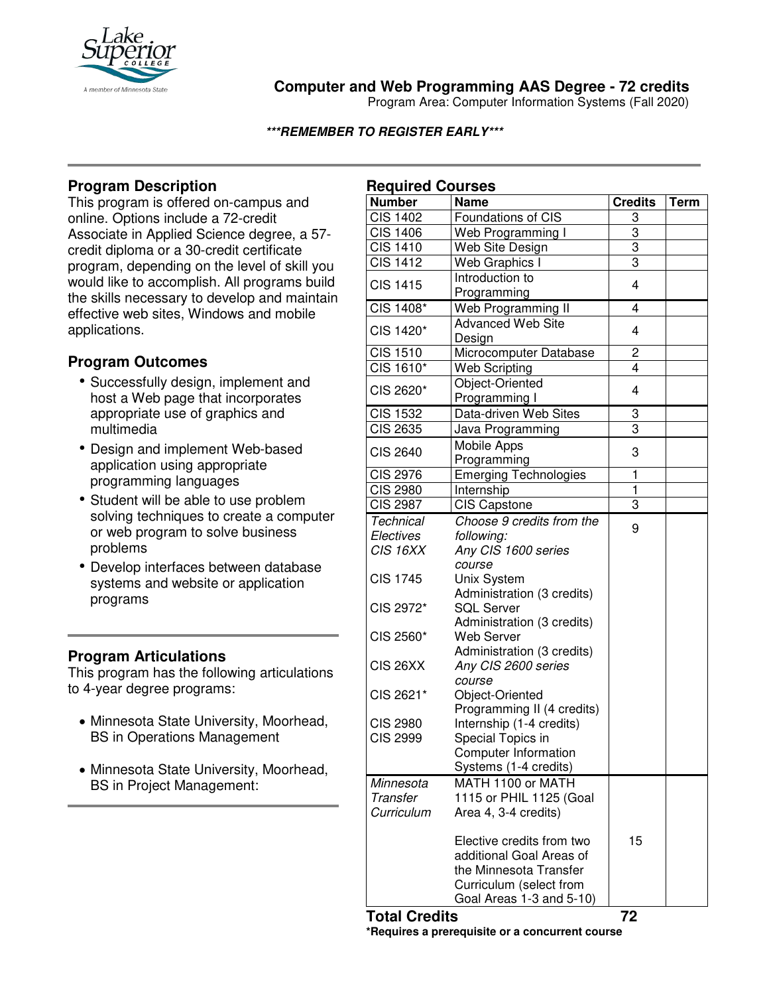

# **Computer and Web Programming AAS Degree - 72 credits**

Program Area: Computer Information Systems (Fall 2020)

#### **\*\*\*REMEMBER TO REGISTER EARLY\*\*\***

## **Program Description**

This program is offered on-campus and online. Options include a 72-credit Associate in Applied Science degree, a 57 credit diploma or a 30-credit certificate program, depending on the level of skill you would like to accomplish. All programs build the skills necessary to develop and maintain effective web sites, Windows and mobile applications.

## **Program Outcomes**

- Successfully design, implement and host a Web page that incorporates appropriate use of graphics and multimedia
- Design and implement Web-based application using appropriate programming languages
- Student will be able to use problem solving techniques to create a computer or web program to solve business problems
- Develop interfaces between database systems and website or application programs

## **Program Articulations**

This program has the following articulations to 4-year degree programs:

- Minnesota State University, Moorhead, BS in Operations Management
- Minnesota State University, Moorhead, BS in Project Management:

| <b>Name</b><br><b>Credits</b><br><b>Term</b><br>Foundations of CIS<br>3<br>3<br>Web Programming I<br>3<br>Web Site Design<br>3<br>Web Graphics I<br>Introduction to<br><b>CIS 1415</b><br>4<br>Programming<br>CIS 1408*<br>4<br>Web Programming II<br><b>Advanced Web Site</b><br>CIS 1420*<br>4<br>Design<br>Microcomputer Database<br>2<br><b>CIS 1510</b><br>CIS 1610*<br><b>Web Scripting</b><br>4<br>Object-Oriented<br>CIS 2620*<br>4<br>Programming I<br>Data-driven Web Sites<br>3<br><b>CIS 1532</b><br>3<br><b>CIS 2635</b><br>Java Programming<br>Mobile Apps<br>3<br><b>CIS 2640</b><br>Programming<br>ī<br><b>CIS 2976</b><br><b>Emerging Technologies</b><br>$\overline{1}$<br><b>CIS 2980</b><br>Internship<br>3<br><b>CIS 2987</b><br><b>CIS Capstone</b><br>Choose 9 credits from the<br><b>Technical</b><br>9<br>following:<br>Electives<br>CIS 16XX<br>Any CIS 1600 series<br>course<br><b>CIS 1745</b><br>Unix System<br>Administration (3 credits)<br>CIS 2972*<br><b>SQL Server</b><br>Administration (3 credits)<br>CIS 2560*<br><b>Web Server</b><br>Administration (3 credits)<br>CIS 26XX<br>Any CIS 2600 series<br>course<br>CIS 2621*<br>Object-Oriented<br>Programming II (4 credits)<br><b>CIS 2980</b><br>Internship (1-4 credits)<br><b>CIS 2999</b><br>Special Topics in<br>Computer Information<br>Systems (1-4 credits)<br>MATH 1100 or MATH<br>Minnesota<br>1115 or PHIL 1125 (Goal<br>Transfer<br>Area 4, 3-4 credits)<br>Curriculum<br>Elective credits from two<br>15<br>additional Goal Areas of<br>the Minnesota Transfer<br>Curriculum (select from<br>Goal Areas 1-3 and 5-10) | <b>Required Courses</b> |  |  |
|---------------------------------------------------------------------------------------------------------------------------------------------------------------------------------------------------------------------------------------------------------------------------------------------------------------------------------------------------------------------------------------------------------------------------------------------------------------------------------------------------------------------------------------------------------------------------------------------------------------------------------------------------------------------------------------------------------------------------------------------------------------------------------------------------------------------------------------------------------------------------------------------------------------------------------------------------------------------------------------------------------------------------------------------------------------------------------------------------------------------------------------------------------------------------------------------------------------------------------------------------------------------------------------------------------------------------------------------------------------------------------------------------------------------------------------------------------------------------------------------------------------------------------------------------------------------------------------------------------------------------|-------------------------|--|--|
|                                                                                                                                                                                                                                                                                                                                                                                                                                                                                                                                                                                                                                                                                                                                                                                                                                                                                                                                                                                                                                                                                                                                                                                                                                                                                                                                                                                                                                                                                                                                                                                                                           | <b>Number</b>           |  |  |
|                                                                                                                                                                                                                                                                                                                                                                                                                                                                                                                                                                                                                                                                                                                                                                                                                                                                                                                                                                                                                                                                                                                                                                                                                                                                                                                                                                                                                                                                                                                                                                                                                           | <b>CIS 1402</b>         |  |  |
|                                                                                                                                                                                                                                                                                                                                                                                                                                                                                                                                                                                                                                                                                                                                                                                                                                                                                                                                                                                                                                                                                                                                                                                                                                                                                                                                                                                                                                                                                                                                                                                                                           | <b>CIS 1406</b>         |  |  |
|                                                                                                                                                                                                                                                                                                                                                                                                                                                                                                                                                                                                                                                                                                                                                                                                                                                                                                                                                                                                                                                                                                                                                                                                                                                                                                                                                                                                                                                                                                                                                                                                                           | <b>CIS 1410</b>         |  |  |
|                                                                                                                                                                                                                                                                                                                                                                                                                                                                                                                                                                                                                                                                                                                                                                                                                                                                                                                                                                                                                                                                                                                                                                                                                                                                                                                                                                                                                                                                                                                                                                                                                           | <b>CIS 1412</b>         |  |  |
|                                                                                                                                                                                                                                                                                                                                                                                                                                                                                                                                                                                                                                                                                                                                                                                                                                                                                                                                                                                                                                                                                                                                                                                                                                                                                                                                                                                                                                                                                                                                                                                                                           |                         |  |  |
|                                                                                                                                                                                                                                                                                                                                                                                                                                                                                                                                                                                                                                                                                                                                                                                                                                                                                                                                                                                                                                                                                                                                                                                                                                                                                                                                                                                                                                                                                                                                                                                                                           |                         |  |  |
|                                                                                                                                                                                                                                                                                                                                                                                                                                                                                                                                                                                                                                                                                                                                                                                                                                                                                                                                                                                                                                                                                                                                                                                                                                                                                                                                                                                                                                                                                                                                                                                                                           |                         |  |  |
|                                                                                                                                                                                                                                                                                                                                                                                                                                                                                                                                                                                                                                                                                                                                                                                                                                                                                                                                                                                                                                                                                                                                                                                                                                                                                                                                                                                                                                                                                                                                                                                                                           |                         |  |  |
|                                                                                                                                                                                                                                                                                                                                                                                                                                                                                                                                                                                                                                                                                                                                                                                                                                                                                                                                                                                                                                                                                                                                                                                                                                                                                                                                                                                                                                                                                                                                                                                                                           |                         |  |  |
|                                                                                                                                                                                                                                                                                                                                                                                                                                                                                                                                                                                                                                                                                                                                                                                                                                                                                                                                                                                                                                                                                                                                                                                                                                                                                                                                                                                                                                                                                                                                                                                                                           |                         |  |  |
|                                                                                                                                                                                                                                                                                                                                                                                                                                                                                                                                                                                                                                                                                                                                                                                                                                                                                                                                                                                                                                                                                                                                                                                                                                                                                                                                                                                                                                                                                                                                                                                                                           |                         |  |  |
|                                                                                                                                                                                                                                                                                                                                                                                                                                                                                                                                                                                                                                                                                                                                                                                                                                                                                                                                                                                                                                                                                                                                                                                                                                                                                                                                                                                                                                                                                                                                                                                                                           |                         |  |  |
|                                                                                                                                                                                                                                                                                                                                                                                                                                                                                                                                                                                                                                                                                                                                                                                                                                                                                                                                                                                                                                                                                                                                                                                                                                                                                                                                                                                                                                                                                                                                                                                                                           |                         |  |  |
|                                                                                                                                                                                                                                                                                                                                                                                                                                                                                                                                                                                                                                                                                                                                                                                                                                                                                                                                                                                                                                                                                                                                                                                                                                                                                                                                                                                                                                                                                                                                                                                                                           |                         |  |  |
|                                                                                                                                                                                                                                                                                                                                                                                                                                                                                                                                                                                                                                                                                                                                                                                                                                                                                                                                                                                                                                                                                                                                                                                                                                                                                                                                                                                                                                                                                                                                                                                                                           |                         |  |  |
|                                                                                                                                                                                                                                                                                                                                                                                                                                                                                                                                                                                                                                                                                                                                                                                                                                                                                                                                                                                                                                                                                                                                                                                                                                                                                                                                                                                                                                                                                                                                                                                                                           |                         |  |  |
|                                                                                                                                                                                                                                                                                                                                                                                                                                                                                                                                                                                                                                                                                                                                                                                                                                                                                                                                                                                                                                                                                                                                                                                                                                                                                                                                                                                                                                                                                                                                                                                                                           |                         |  |  |
|                                                                                                                                                                                                                                                                                                                                                                                                                                                                                                                                                                                                                                                                                                                                                                                                                                                                                                                                                                                                                                                                                                                                                                                                                                                                                                                                                                                                                                                                                                                                                                                                                           |                         |  |  |
|                                                                                                                                                                                                                                                                                                                                                                                                                                                                                                                                                                                                                                                                                                                                                                                                                                                                                                                                                                                                                                                                                                                                                                                                                                                                                                                                                                                                                                                                                                                                                                                                                           |                         |  |  |
|                                                                                                                                                                                                                                                                                                                                                                                                                                                                                                                                                                                                                                                                                                                                                                                                                                                                                                                                                                                                                                                                                                                                                                                                                                                                                                                                                                                                                                                                                                                                                                                                                           |                         |  |  |
|                                                                                                                                                                                                                                                                                                                                                                                                                                                                                                                                                                                                                                                                                                                                                                                                                                                                                                                                                                                                                                                                                                                                                                                                                                                                                                                                                                                                                                                                                                                                                                                                                           |                         |  |  |
|                                                                                                                                                                                                                                                                                                                                                                                                                                                                                                                                                                                                                                                                                                                                                                                                                                                                                                                                                                                                                                                                                                                                                                                                                                                                                                                                                                                                                                                                                                                                                                                                                           |                         |  |  |
|                                                                                                                                                                                                                                                                                                                                                                                                                                                                                                                                                                                                                                                                                                                                                                                                                                                                                                                                                                                                                                                                                                                                                                                                                                                                                                                                                                                                                                                                                                                                                                                                                           |                         |  |  |
|                                                                                                                                                                                                                                                                                                                                                                                                                                                                                                                                                                                                                                                                                                                                                                                                                                                                                                                                                                                                                                                                                                                                                                                                                                                                                                                                                                                                                                                                                                                                                                                                                           |                         |  |  |
|                                                                                                                                                                                                                                                                                                                                                                                                                                                                                                                                                                                                                                                                                                                                                                                                                                                                                                                                                                                                                                                                                                                                                                                                                                                                                                                                                                                                                                                                                                                                                                                                                           |                         |  |  |
|                                                                                                                                                                                                                                                                                                                                                                                                                                                                                                                                                                                                                                                                                                                                                                                                                                                                                                                                                                                                                                                                                                                                                                                                                                                                                                                                                                                                                                                                                                                                                                                                                           |                         |  |  |
|                                                                                                                                                                                                                                                                                                                                                                                                                                                                                                                                                                                                                                                                                                                                                                                                                                                                                                                                                                                                                                                                                                                                                                                                                                                                                                                                                                                                                                                                                                                                                                                                                           |                         |  |  |
|                                                                                                                                                                                                                                                                                                                                                                                                                                                                                                                                                                                                                                                                                                                                                                                                                                                                                                                                                                                                                                                                                                                                                                                                                                                                                                                                                                                                                                                                                                                                                                                                                           |                         |  |  |
|                                                                                                                                                                                                                                                                                                                                                                                                                                                                                                                                                                                                                                                                                                                                                                                                                                                                                                                                                                                                                                                                                                                                                                                                                                                                                                                                                                                                                                                                                                                                                                                                                           |                         |  |  |
|                                                                                                                                                                                                                                                                                                                                                                                                                                                                                                                                                                                                                                                                                                                                                                                                                                                                                                                                                                                                                                                                                                                                                                                                                                                                                                                                                                                                                                                                                                                                                                                                                           |                         |  |  |
|                                                                                                                                                                                                                                                                                                                                                                                                                                                                                                                                                                                                                                                                                                                                                                                                                                                                                                                                                                                                                                                                                                                                                                                                                                                                                                                                                                                                                                                                                                                                                                                                                           |                         |  |  |
|                                                                                                                                                                                                                                                                                                                                                                                                                                                                                                                                                                                                                                                                                                                                                                                                                                                                                                                                                                                                                                                                                                                                                                                                                                                                                                                                                                                                                                                                                                                                                                                                                           |                         |  |  |
|                                                                                                                                                                                                                                                                                                                                                                                                                                                                                                                                                                                                                                                                                                                                                                                                                                                                                                                                                                                                                                                                                                                                                                                                                                                                                                                                                                                                                                                                                                                                                                                                                           |                         |  |  |
|                                                                                                                                                                                                                                                                                                                                                                                                                                                                                                                                                                                                                                                                                                                                                                                                                                                                                                                                                                                                                                                                                                                                                                                                                                                                                                                                                                                                                                                                                                                                                                                                                           |                         |  |  |
|                                                                                                                                                                                                                                                                                                                                                                                                                                                                                                                                                                                                                                                                                                                                                                                                                                                                                                                                                                                                                                                                                                                                                                                                                                                                                                                                                                                                                                                                                                                                                                                                                           |                         |  |  |
|                                                                                                                                                                                                                                                                                                                                                                                                                                                                                                                                                                                                                                                                                                                                                                                                                                                                                                                                                                                                                                                                                                                                                                                                                                                                                                                                                                                                                                                                                                                                                                                                                           |                         |  |  |
|                                                                                                                                                                                                                                                                                                                                                                                                                                                                                                                                                                                                                                                                                                                                                                                                                                                                                                                                                                                                                                                                                                                                                                                                                                                                                                                                                                                                                                                                                                                                                                                                                           |                         |  |  |
|                                                                                                                                                                                                                                                                                                                                                                                                                                                                                                                                                                                                                                                                                                                                                                                                                                                                                                                                                                                                                                                                                                                                                                                                                                                                                                                                                                                                                                                                                                                                                                                                                           |                         |  |  |
|                                                                                                                                                                                                                                                                                                                                                                                                                                                                                                                                                                                                                                                                                                                                                                                                                                                                                                                                                                                                                                                                                                                                                                                                                                                                                                                                                                                                                                                                                                                                                                                                                           |                         |  |  |
|                                                                                                                                                                                                                                                                                                                                                                                                                                                                                                                                                                                                                                                                                                                                                                                                                                                                                                                                                                                                                                                                                                                                                                                                                                                                                                                                                                                                                                                                                                                                                                                                                           |                         |  |  |
|                                                                                                                                                                                                                                                                                                                                                                                                                                                                                                                                                                                                                                                                                                                                                                                                                                                                                                                                                                                                                                                                                                                                                                                                                                                                                                                                                                                                                                                                                                                                                                                                                           |                         |  |  |
|                                                                                                                                                                                                                                                                                                                                                                                                                                                                                                                                                                                                                                                                                                                                                                                                                                                                                                                                                                                                                                                                                                                                                                                                                                                                                                                                                                                                                                                                                                                                                                                                                           |                         |  |  |
|                                                                                                                                                                                                                                                                                                                                                                                                                                                                                                                                                                                                                                                                                                                                                                                                                                                                                                                                                                                                                                                                                                                                                                                                                                                                                                                                                                                                                                                                                                                                                                                                                           |                         |  |  |
|                                                                                                                                                                                                                                                                                                                                                                                                                                                                                                                                                                                                                                                                                                                                                                                                                                                                                                                                                                                                                                                                                                                                                                                                                                                                                                                                                                                                                                                                                                                                                                                                                           |                         |  |  |
|                                                                                                                                                                                                                                                                                                                                                                                                                                                                                                                                                                                                                                                                                                                                                                                                                                                                                                                                                                                                                                                                                                                                                                                                                                                                                                                                                                                                                                                                                                                                                                                                                           |                         |  |  |
|                                                                                                                                                                                                                                                                                                                                                                                                                                                                                                                                                                                                                                                                                                                                                                                                                                                                                                                                                                                                                                                                                                                                                                                                                                                                                                                                                                                                                                                                                                                                                                                                                           |                         |  |  |